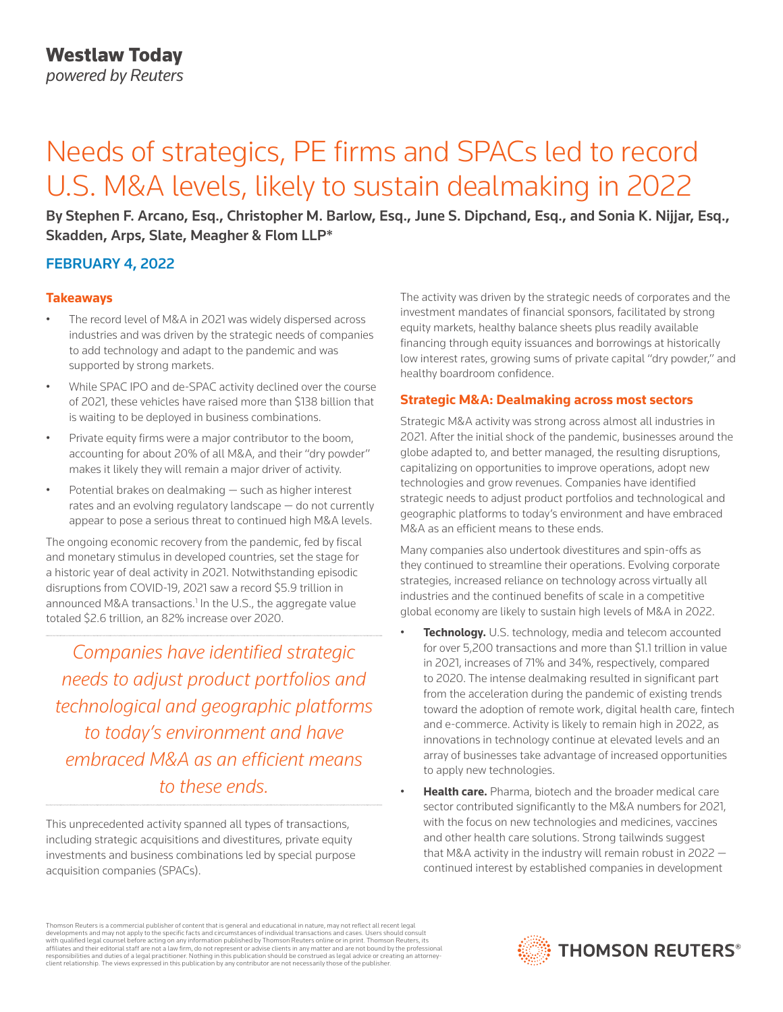# Needs of strategics, PE firms and SPACs led to record U.S. M&A levels, likely to sustain dealmaking in 2022

By Stephen F. Arcano, Esq., Christopher M. Barlow, Esq., June S. Dipchand, Esq., and Sonia K. Nijjar, Esq., Skadden, Arps, Slate, Meagher & Flom LLP\*

# FEBRUARY 4, 2022

## **Takeaways**

- The record level of M&A in 2021 was widely dispersed across industries and was driven by the strategic needs of companies to add technology and adapt to the pandemic and was supported by strong markets.
- While SPAC IPO and de-SPAC activity declined over the course of 2021, these vehicles have raised more than \$138 billion that is waiting to be deployed in business combinations.
- Private equity firms were a major contributor to the boom, accounting for about 20% of all M&A, and their "dry powder" makes it likely they will remain a major driver of activity.
- Potential brakes on dealmaking such as higher interest rates and an evolving regulatory landscape — do not currently appear to pose a serious threat to continued high M&A levels.

The ongoing economic recovery from the pandemic, fed by fiscal and monetary stimulus in developed countries, set the stage for a historic year of deal activity in 2021. Notwithstanding episodic disruptions from COVID-19, 2021 saw a record \$5.9 trillion in announced M&A transactions.<sup>1</sup> In the U.S., the aggregate value totaled \$2.6 trillion, an 82% increase over 2020.

*Companies have identified strategic needs to adjust product portfolios and technological and geographic platforms to today's environment and have embraced M&A as an efficient means to these ends.*

This unprecedented activity spanned all types of transactions, including strategic acquisitions and divestitures, private equity investments and business combinations led by special purpose acquisition companies (SPACs).

The activity was driven by the strategic needs of corporates and the investment mandates of financial sponsors, facilitated by strong equity markets, healthy balance sheets plus readily available financing through equity issuances and borrowings at historically low interest rates, growing sums of private capital "dry powder," and healthy boardroom confidence.

#### **Strategic M&A: Dealmaking across most sectors**

Strategic M&A activity was strong across almost all industries in 2021. After the initial shock of the pandemic, businesses around the globe adapted to, and better managed, the resulting disruptions, capitalizing on opportunities to improve operations, adopt new technologies and grow revenues. Companies have identified strategic needs to adjust product portfolios and technological and geographic platforms to today's environment and have embraced M&A as an efficient means to these ends.

Many companies also undertook divestitures and spin-offs as they continued to streamline their operations. Evolving corporate strategies, increased reliance on technology across virtually all industries and the continued benefits of scale in a competitive global economy are likely to sustain high levels of M&A in 2022.

- **Technology.** U.S. technology, media and telecom accounted for over 5,200 transactions and more than \$1.1 trillion in value in 2021, increases of 71% and 34%, respectively, compared to 2020. The intense dealmaking resulted in significant part from the acceleration during the pandemic of existing trends toward the adoption of remote work, digital health care, fintech and e-commerce. Activity is likely to remain high in 2022, as innovations in technology continue at elevated levels and an array of businesses take advantage of increased opportunities to apply new technologies.
- **Health care.** Pharma, biotech and the broader medical care sector contributed significantly to the M&A numbers for 2021, with the focus on new technologies and medicines, vaccines and other health care solutions. Strong tailwinds suggest that M&A activity in the industry will remain robust in 2022 continued interest by established companies in development

Thomson Reuters is a commercial publisher of content that is general and educational in nature, may not reflect all recent legal developments and may not apply to the specific facts and circumstances of individual transactions and cases. Users should consult<br>with qualified legal counsel before acting on any information published by Thomson Reuters o responsibilities and duties of a legal practitioner. Nothing in this publication should be construed as legal advice or creating an attorneyclient relationship. The views expressed in this publication by any contributor are not necessarily those of the publisher.

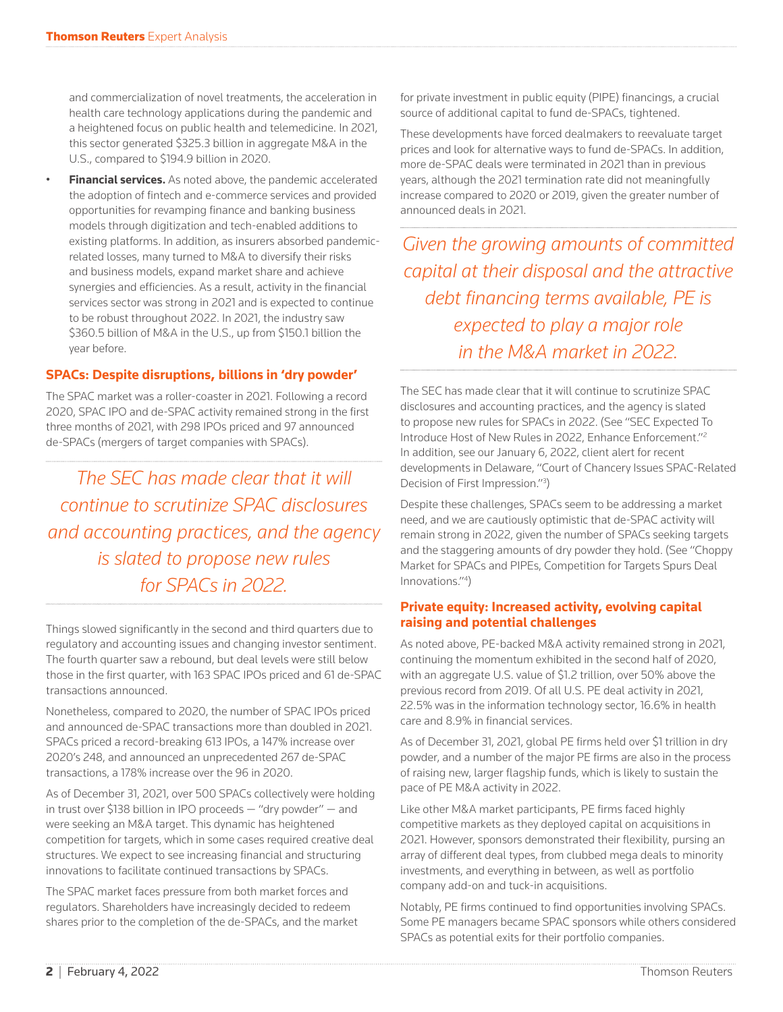and commercialization of novel treatments, the acceleration in health care technology applications during the pandemic and a heightened focus on public health and telemedicine. In 2021, this sector generated \$325.3 billion in aggregate M&A in the U.S., compared to \$194.9 billion in 2020.

• **Financial services.** As noted above, the pandemic accelerated the adoption of fintech and e-commerce services and provided opportunities for revamping finance and banking business models through digitization and tech-enabled additions to existing platforms. In addition, as insurers absorbed pandemicrelated losses, many turned to M&A to diversify their risks and business models, expand market share and achieve synergies and efficiencies. As a result, activity in the financial services sector was strong in 2021 and is expected to continue to be robust throughout 2022. In 2021, the industry saw \$360.5 billion of M&A in the U.S., up from \$150.1 billion the year before.

# **SPACs: Despite disruptions, billions in 'dry powder'**

The SPAC market was a roller-coaster in 2021. Following a record 2020, SPAC IPO and de-SPAC activity remained strong in the first three months of 2021, with 298 IPOs priced and 97 announced de-SPACs (mergers of target companies with SPACs).

*The SEC has made clear that it will continue to scrutinize SPAC disclosures and accounting practices, and the agency is slated to propose new rules for SPACs in 2022.*

Things slowed significantly in the second and third quarters due to regulatory and accounting issues and changing investor sentiment. The fourth quarter saw a rebound, but deal levels were still below those in the first quarter, with 163 SPAC IPOs priced and 61 de-SPAC transactions announced.

Nonetheless, compared to 2020, the number of SPAC IPOs priced and announced de-SPAC transactions more than doubled in 2021. SPACs priced a record-breaking 613 IPOs, a 147% increase over 2020's 248, and announced an unprecedented 267 de-SPAC transactions, a 178% increase over the 96 in 2020.

As of December 31, 2021, over 500 SPACs collectively were holding in trust over \$138 billion in IPO proceeds — "dry powder" — and were seeking an M&A target. This dynamic has heightened competition for targets, which in some cases required creative deal structures. We expect to see increasing financial and structuring innovations to facilitate continued transactions by SPACs.

The SPAC market faces pressure from both market forces and regulators. Shareholders have increasingly decided to redeem shares prior to the completion of the de-SPACs, and the market for private investment in public equity (PIPE) financings, a crucial source of additional capital to fund de-SPACs, tightened.

These developments have forced dealmakers to reevaluate target prices and look for alternative ways to fund de-SPACs. In addition, more de-SPAC deals were terminated in 2021 than in previous years, although the 2021 termination rate did not meaningfully increase compared to 2020 or 2019, given the greater number of announced deals in 2021.

*Given the growing amounts of committed capital at their disposal and the attractive debt financing terms available, PE is expected to play a major role in the M&A market in 2022.*

The SEC has made clear that it will continue to scrutinize SPAC disclosures and accounting practices, and the agency is slated to propose new rules for SPACs in 2022. (See "SEC Expected To Introduce Host of New Rules in 2022, Enhance Enforcement."2 In addition, see our January 6, 2022, client alert for recent developments in Delaware, "Court of Chancery Issues SPAC-Related Decision of First Impression."3 )

Despite these challenges, SPACs seem to be addressing a market need, and we are cautiously optimistic that de-SPAC activity will remain strong in 2022, given the number of SPACs seeking targets and the staggering amounts of dry powder they hold. (See "Choppy Market for SPACs and PIPEs, Competition for Targets Spurs Deal Innovations."4 )

# **Private equity: Increased activity, evolving capital raising and potential challenges**

As noted above, PE-backed M&A activity remained strong in 2021, continuing the momentum exhibited in the second half of 2020, with an aggregate U.S. value of \$1.2 trillion, over 50% above the previous record from 2019. Of all U.S. PE deal activity in 2021, 22.5% was in the information technology sector, 16.6% in health care and 8.9% in financial services.

As of December 31, 2021, global PE firms held over \$1 trillion in dry powder, and a number of the major PE firms are also in the process of raising new, larger flagship funds, which is likely to sustain the pace of PE M&A activity in 2022.

Like other M&A market participants, PE firms faced highly competitive markets as they deployed capital on acquisitions in 2021. However, sponsors demonstrated their flexibility, pursing an array of different deal types, from clubbed mega deals to minority investments, and everything in between, as well as portfolio company add-on and tuck-in acquisitions.

Notably, PE firms continued to find opportunities involving SPACs. Some PE managers became SPAC sponsors while others considered SPACs as potential exits for their portfolio companies.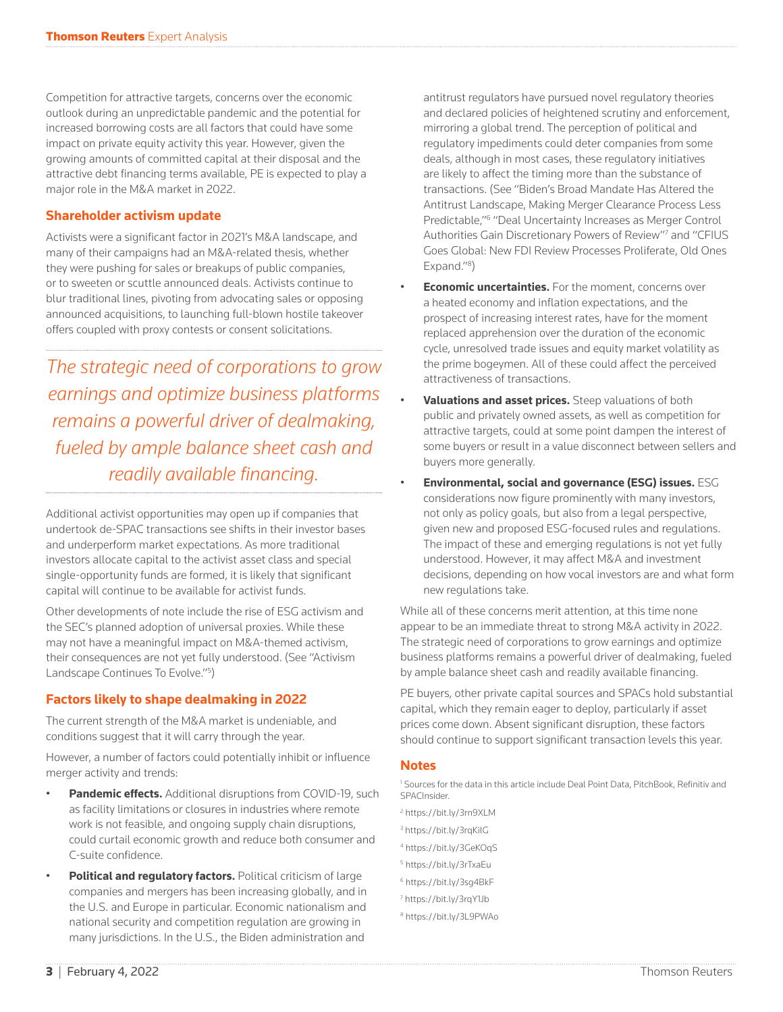Competition for attractive targets, concerns over the economic outlook during an unpredictable pandemic and the potential for increased borrowing costs are all factors that could have some impact on private equity activity this year. However, given the growing amounts of committed capital at their disposal and the attractive debt financing terms available, PE is expected to play a major role in the M&A market in 2022.

## **Shareholder activism update**

Activists were a significant factor in 2021's M&A landscape, and many of their campaigns had an M&A-related thesis, whether they were pushing for sales or breakups of public companies, or to sweeten or scuttle announced deals. Activists continue to blur traditional lines, pivoting from advocating sales or opposing announced acquisitions, to launching full-blown hostile takeover offers coupled with proxy contests or consent solicitations.

*The strategic need of corporations to grow earnings and optimize business platforms remains a powerful driver of dealmaking, fueled by ample balance sheet cash and readily available financing.*

Additional activist opportunities may open up if companies that undertook de-SPAC transactions see shifts in their investor bases and underperform market expectations. As more traditional investors allocate capital to the activist asset class and special single-opportunity funds are formed, it is likely that significant capital will continue to be available for activist funds.

Other developments of note include the rise of ESG activism and the SEC's planned adoption of universal proxies. While these may not have a meaningful impact on M&A-themed activism, their consequences are not yet fully understood. (See "Activism Landscape Continues To Evolve."<sup>5</sup>)

# **Factors likely to shape dealmaking in 2022**

The current strength of the M&A market is undeniable, and conditions suggest that it will carry through the year.

However, a number of factors could potentially inhibit or influence merger activity and trends:

- **Pandemic effects.** Additional disruptions from COVID-19, such as facility limitations or closures in industries where remote work is not feasible, and ongoing supply chain disruptions, could curtail economic growth and reduce both consumer and C-suite confidence.
- **Political and regulatory factors.** Political criticism of large companies and mergers has been increasing globally, and in the U.S. and Europe in particular. Economic nationalism and national security and competition regulation are growing in many jurisdictions. In the U.S., the Biden administration and

antitrust regulators have pursued novel regulatory theories and declared policies of heightened scrutiny and enforcement, mirroring a global trend. The perception of political and regulatory impediments could deter companies from some deals, although in most cases, these regulatory initiatives are likely to affect the timing more than the substance of transactions. (See "Biden's Broad Mandate Has Altered the Antitrust Landscape, Making Merger Clearance Process Less Predictable,"6 "Deal Uncertainty Increases as Merger Control Authorities Gain Discretionary Powers of Review"7 and "CFIUS Goes Global: New FDI Review Processes Proliferate, Old Ones Expand."<sup>8</sup>)

- **Economic uncertainties.** For the moment, concerns over a heated economy and inflation expectations, and the prospect of increasing interest rates, have for the moment replaced apprehension over the duration of the economic cycle, unresolved trade issues and equity market volatility as the prime bogeymen. All of these could affect the perceived attractiveness of transactions.
- **Valuations and asset prices.** Steep valuations of both public and privately owned assets, as well as competition for attractive targets, could at some point dampen the interest of some buyers or result in a value disconnect between sellers and buyers more generally.
- **Environmental, social and governance (ESG) issues.** ESG considerations now figure prominently with many investors, not only as policy goals, but also from a legal perspective, given new and proposed ESG-focused rules and regulations. The impact of these and emerging regulations is not yet fully understood. However, it may affect M&A and investment decisions, depending on how vocal investors are and what form new regulations take.

While all of these concerns merit attention, at this time none appear to be an immediate threat to strong M&A activity in 2022. The strategic need of corporations to grow earnings and optimize business platforms remains a powerful driver of dealmaking, fueled by ample balance sheet cash and readily available financing.

PE buyers, other private capital sources and SPACs hold substantial capital, which they remain eager to deploy, particularly if asset prices come down. Absent significant disruption, these factors should continue to support significant transaction levels this year.

## **Notes**

<sup>1</sup> Sources for the data in this article include Deal Point Data, PitchBook, Refinitiv and SPACInsider.

- <sup>2</sup> https://bit.ly/3rn9XLM
- 3 https://bit.ly/3rqKilG
- 4 https://bit.ly/3GeKOqS
- 5 https://bit.ly/3rTxaEu
- <sup>6</sup> https://bit.ly/3sg4BkF
- 7 https://bit.ly/3rqY1Jb
- 8 https://bit.ly/3L9PWAo